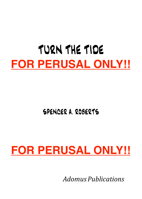# TURN THE TIDE **FOR PERUSAL ONLY!!**

## SPENCER A. ROBERTS

## **FOR PERUSAL ONLY!!**

*Adomus Publications*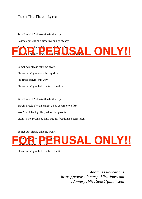#### **Turn The Tide – Lyrics**

Stop'd workin' nine to five in the city,

Lost my girl cuz she didn't wanna go steady,



Somebody please take me away, Please won't you stand by my side. I'm tired of livin' this way, Please won't you help me turn the tide. Stop'd workin' nine to five in the city, Barely breakin' even caught a bus cost me two fitty, Won't look back gotta push on keep rollin',

Livin' in the promised land but my freedom's been stolen.

Somebody please take me away,



Please won't you help me turn the tide.

*Adomus Publications https://www.adomuspublications.com adomuspublications@gmail.com*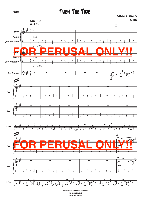Score

### TURN THE TIDE



Copyright © 2019 Spencer A. Roberts All rights reserved. Adomus Publications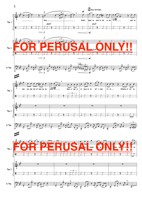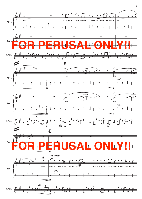

3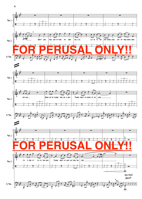

4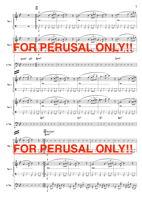